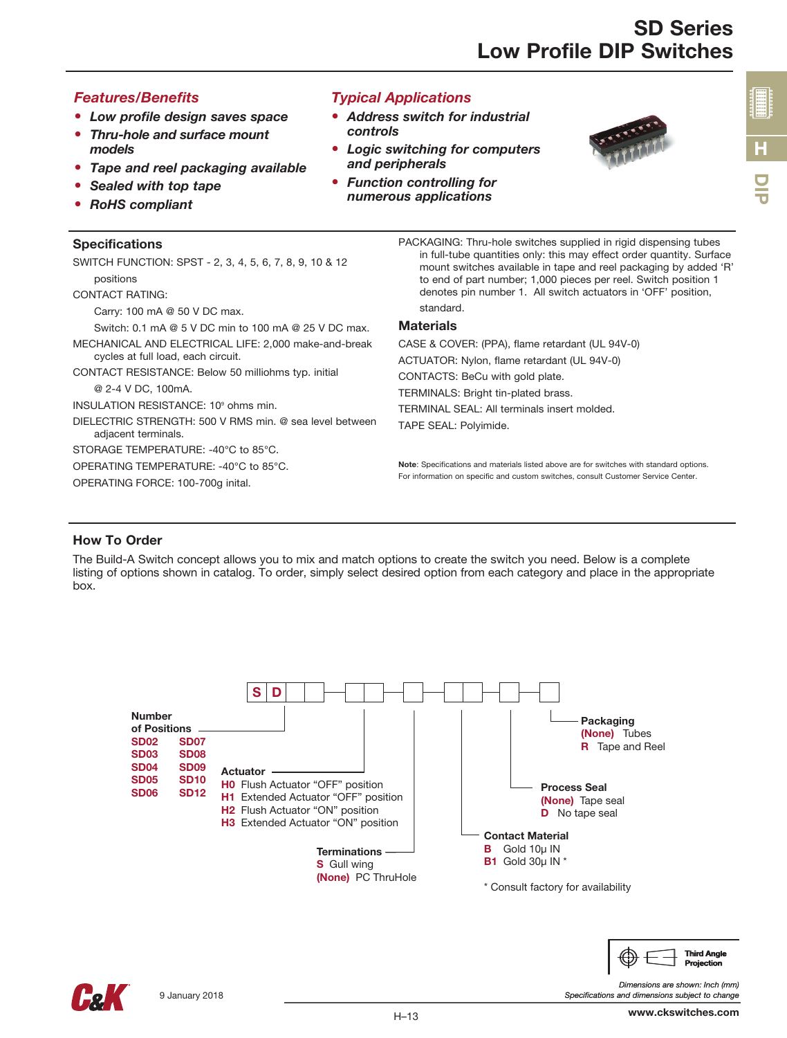## *Features/Benefits*

- *Low profile design saves space*
- *Thru-hole and surface mount models*
- *Tape and reel packaging available*
- *Sealed with top tape*
- *RoHS compliant*

#### Specifications

SWITCH FUNCTION: SPST - 2, 3, 4, 5, 6, 7, 8, 9, 10 & 12 positions

CONTACT RATING:

Carry: 100 mA @ 50 V DC max.

Switch: 0.1 mA @ 5 V DC min to 100 mA @ 25 V DC max.

- MECHANICAL AND ELECTRICAL LIFE: 2,000 make-and-break cycles at full load, each circuit.
- CONTACT RESISTANCE: Below 50 milliohms typ. initial @ 2-4 V DC, 100mA.

INSULATION RESISTANCE: 10<sup>9</sup> ohms min.

DIELECTRIC STRENGTH: 500 V RMS min. @ sea level between adjacent terminals.

STORAGE TEMPERATURE: -40°C to 85°C.

OPERATING TEMPERATURE: -40°C to 85°C.

OPERATING FORCE: 100-700g inital.

*Typical Applications*

- *Address switch for industrial controls*
- *Logic switching for computers and peripherals*
- *Function controlling for numerous applications*



PACKAGING: Thru-hole switches supplied in rigid dispensing tubes in full-tube quantities only: this may effect order quantity. Surface mount switches available in tape and reel packaging by added 'R' to end of part number; 1,000 pieces per reel. Switch position 1 denotes pin number 1. All switch actuators in 'OFF' position, standard.

#### **Materials**

CASE & COVER: (PPA), flame retardant (UL 94V-0) ACTUATOR: Nylon, flame retardant (UL 94V-0)

CONTACTS: BeCu with gold plate.

TERMINALS: Bright tin-plated brass.

TERMINAL SEAL: All terminals insert molded.

TAPE SEAL: Polyimide.

Note: Specifications and materials listed above are for switches with standard options. For information on specific and custom switches, consult Customer Service Center.

#### How To Order

The Build-A Switch concept allows you to mix and match options to create the switch you need. Below is a complete listing of options shown in catalog. To order, simply select desired option from each category and place in the appropriate box.





*Dimensions are shown: Inch (mm)*

Projection

*Specifications and dimensions subject to change*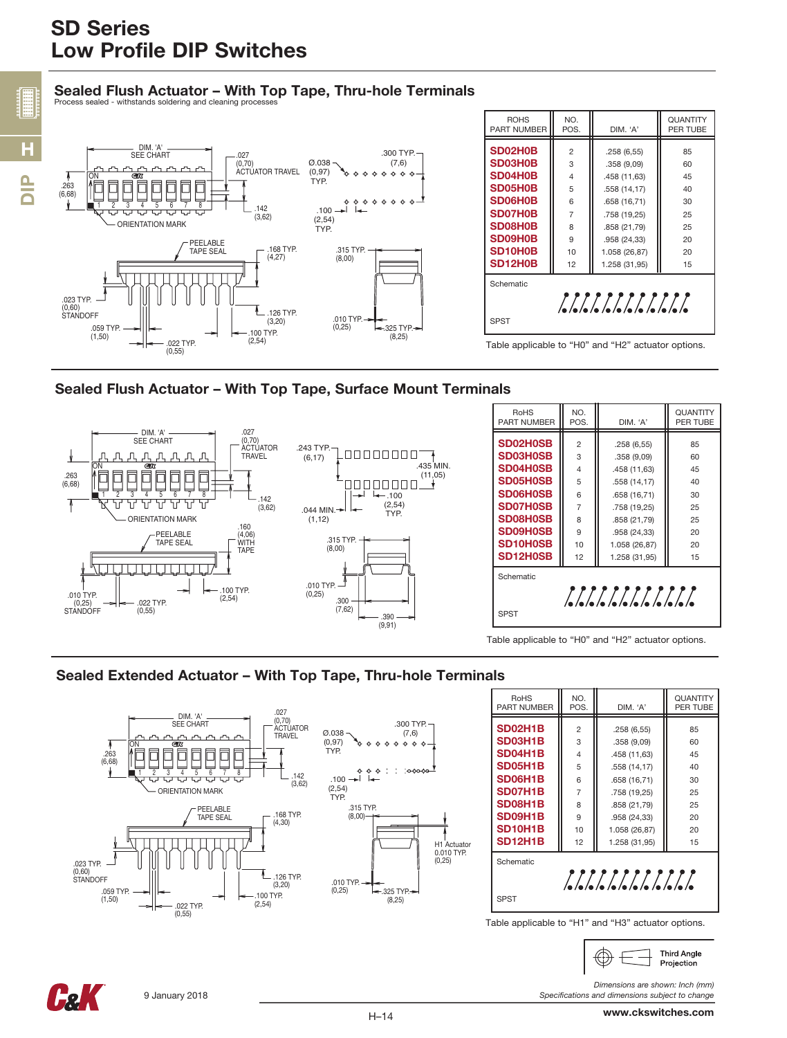# Sealed Flush Actuator – With Top Tape, Thru-hole Terminals







Table applicable to "H0" and "H2" actuator options.

## Sealed Extended Actuator – With Top Tape, Thru-hole Terminals





*Specifications and dimensions subject to change*